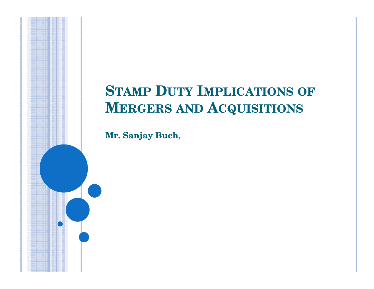### **STAMP <sup>D</sup>UTY <sup>I</sup>MPLICATIONS OF MERGERS AND <sup>A</sup>CQUISITIONS**

**Mr. Sanjay Buch,**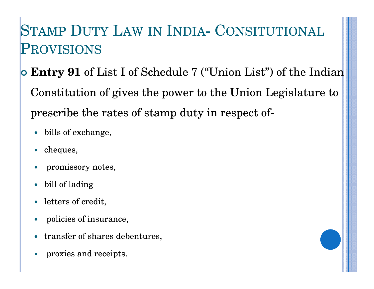### STAMP <sup>D</sup>UTY <sup>L</sup>AW IN <sup>I</sup>NDIA- <sup>C</sup>ONSITUTIONAL PROVISIONS

 **Entry 91** of List I of Schedule 7 ("Union List") of the Indian Constitution of gives the power to the Union Legislature to prescribe the rates of stamp duty in respect of-

- bills of exchange,
- $\bullet$ cheques,
- $\bullet$ promissory notes,
- $\bullet$ bill of lading
- letters of credit,
- $\bullet$ policies of insurance,
- $\bullet$ transfer of shares debentures,
- $\bullet$ proxies and receipts.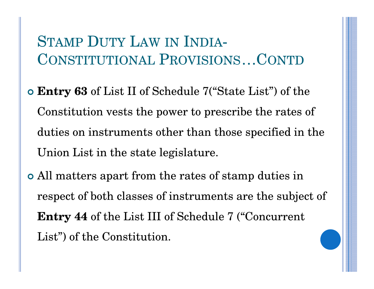#### STAMP <sup>D</sup>UTY <sup>L</sup>AWSTAMP DUTY LAW IN INDIA-<br>CONSTITUTIONAL PROVISIOI <sup>P</sup>ROVISIONS…CONTD

- **Entry 63** of List II of Schedule 7("State List") of the Constitution vests the power to prescribe the rates of duties on instruments other than those specified in the Union List in the state legislature.
- All matters apart from the rates of stamp duties in respect of both classes of instruments are the subject of **Entry 44** of the List III of Schedule 7 ("Concurrent List") of the Constitution.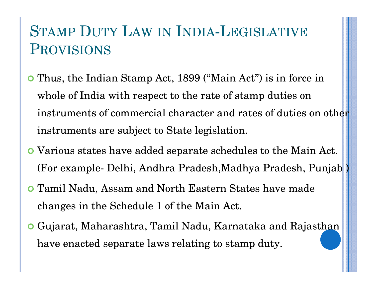### STAMP DUTY LAW IN INDIA-LEGISLATIVE<br>PROVISIONS PROVISIONS

- Thus, the Indian Stamp Act, 1899 ("Main Act") is in force in whole of India with respect to the rate of stamp duties on instruments of commercial character and rates of duties on other instruments are subject to State legislation.
- Various states have added separate schedules to the Main Act. (For example- Delhi, Andhra Pradesh,Madhya Pradesh, Punjab )
- Tamil Nadu, Assam and North Eastern States have made changes in the Schedule 1 of the Main Act.
- Gujarat, Maharashtra, Tamil Nadu, Karnataka and Rajasthan have enacted separate laws relating to stamp duty.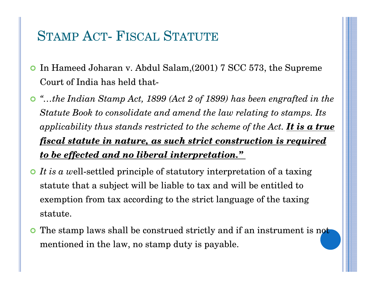### STAMP <sup>A</sup>CT- <sup>F</sup>ISCAL <sup>S</sup>TATUTE

- $\mathbf O$  In Hameed Joharan v. Abdul Salam,(2001) 7 SCC 573, the Supreme Court of India has held that-
- *"…the Indian Stamp Act, 1899 (Act 2 of 1899) has been engrafted in the Statute Book to consolidate and amend the law relating to stamps. Its applicability thus stands restricted to the scheme of the Act. It is a true fiscal statute in nature, as such strict construction is required to be effected and no liberal interpretation."*
- *It is a w*ell-settled principle of statutory interpretation of a taxing statute that a subject will be liable to tax and will be entitled to exemption from tax according to the strict language of the taxing statute.
- $\bullet$  The stamp laws shall be construed strictly and if an instrument is not mentioned in the law, no stamp duty is payable.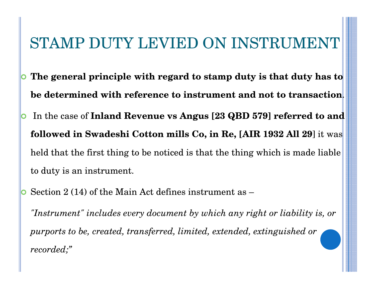### STAMP DUTY LEVIED ON INSTRUMENT

- O **The general principle with regard to stamp duty is that duty has to be determined with reference to instrument and not to transaction**.
- O In the case of **Inland Revenue vs Angus [23 QBD 579] referred to and followed in Swadeshi Cotton mills Co, in Re, [AIR 1932 All 29**] it was held that the first thing to be noticed is that the thing which is made liable to duty is an instrument.
- O Section 2 (14) of the Main Act defines instrument as –

*"Instrument" includes every document by which any right or liability is, or purports to be, created, transferred, limited, extended, extinguished or recorded;"*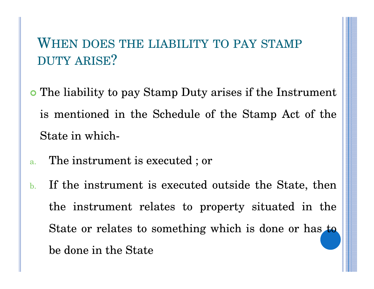### WHEN DOES THE LIABILITY TO PAY STAMP DUTY ARISE?

- The liability to pay Stamp Duty arises if the Instrument is mentioned in the Schedule of the Stamp Act of theState in which-
- a.The instrument is executed ; or
- b. If the instrument is executed outside the State, thenthe instrument relates to property situated in theState or relates to something which is done or has tobe done in the State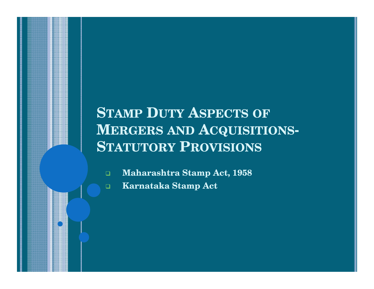### **STAMP <sup>D</sup>UTY <sup>A</sup>SPECTS OF MERGERS AND <sup>A</sup>CQUISITIONS-STATUTORY <sup>P</sup>ROVISIONS**

 $\Box$ **Maharashtra Stamp Act, 1958**

 $\Box$ **Karnataka Stamp Act**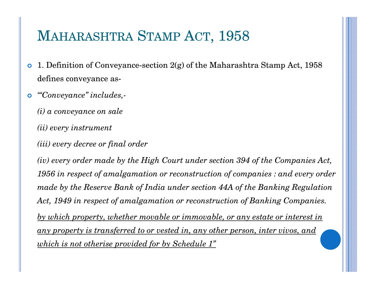### MAHARASHTRA <sup>S</sup>TAMP <sup>A</sup>CT, <sup>1958</sup>

- 1. Definition of Conveyance-section 2(g) of the Maharashtra Stamp Act, 1958 defines conveyance as-
- $\bullet$  *'"Conveyance" includes,-*
	- *(i) a conveyance on sale*
	- *(ii) every instrument*
	- *(iii) every decree or final order*

*(iv) every order made by the High Court under section 394 of the Companies Act, 1956 in respect of amalgamation or reconstruction of companies : and every order made by the Reserve Bank of India under section 44A of the Banking Regulation Act, 1949 in respect of amalgamation or reconstruction of Banking Companies.by which property, whether movable or immovable, or any estate or interest in any property is transferred to or vested in, any other person, inter vivos, and which is not otherise provided for by Schedule 1"*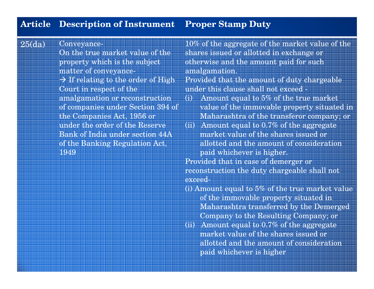#### **Article Description of Instrument Proper Stamp Duty**

25(da)Conveyance-

> On the true market value of the property which is the subjectmatter of conveyance- $\rightarrow$  If relating to the order of High<br>Court in respect of the Court in respect of the amalgamation or reconstruction of companies under Section 394 of the Companies Act, 1956 or under the order of the Reserve Bank of India under section 44A of the Banking Regulation Act, 1949 **paid whichever is higher.**

10% of the aggregate of the market value of the shares issued or allotted in exchange or otherwise and the amount paid for such amalgamation.

Provided that the amount of duty chargeable under this clause shall not exceed -

- (i) Amount equal to 5% of the true market value of the immovable property situated in Maharashtra of the transferor company; or
- (ii) Amount equal to 0.7% of the aggregate market value of the shares issued or allotted and the amount of consideration

Provided that in case of demerger or reconstruction the duty chargeable shall notexceed-

- (i) Amount equal to 5% of the true market value of the immovable property situated in Maharashtra transferred by the Demerged Company to the Resulting Company; or
- (ii) Amount equal to 0.7% of the aggregate market value of the shares issued or allotted and the amount of consideration paid whichever is higher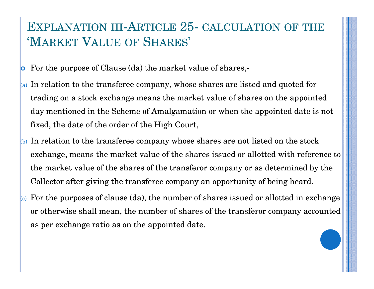### EXPLANATION III-ARTICLE 25- CALCULATION OF THE 'MARKET <sup>V</sup>ALUE OF <sup>S</sup>HARES'

- O For the purpose of Clause (da) the market value of shares,-
- $\alpha$  In relation to the transferee company, whose shares are listed and quoted for trading on a stock exchange means the market value of shares on the appointed day mentioned in the Scheme of Amalgamation or when the appointed date is not fixed, the date of the order of the High Court,
- $_{(b)}$  In relation to the transferee company whose shares are not listed on the stock exchange, means the market value of the shares issued or allotted with reference to the market value of the shares of the transferor company or as determined by the Collector after giving the transferee company an opportunity of being heard.
- $\left(\epsilon\right)$  For the purposes of clause (da), the number of shares issued or allotted in exchange or otherwise shall mean, the number of shares of the transferor company accounted as per exchange ratio as on the appointed date.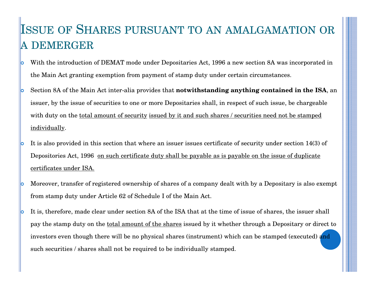#### ISSUE OF <sup>S</sup>HARES PURSUANT TO AN AMALGAMATION OR A DEMERGER

- О With the introduction of DEMAT mode under Depositaries Act, 1996 a new section 8A was incorporated in the Main Act granting exemption from payment of stamp duty under certain circumstances.
- lo Section 8A of the Main Act inter-alia provides that **notwithstanding anything contained in the ISA**, an issuer, by the issue of securities to one or more Depositaries shall, in respect of such issue, be chargeable with duty on the <u>total amount of security issued by it and such shares / securities need not be stamped</u> individually.
- lo It is also provided in this section that where an issuer issues certificate of security under section 14(3) of Depositories Act, 1996 on such certificate duty shall be payable as is payable on the issue of duplicate certificates under ISA.
- lo Moreover, transfer of registered ownership of shares of a company dealt with by a Depositary is also exempt from stamp duty under Article 62 of Schedule I of the Main Act.
- b It is, therefore, made clear under section 8A of the ISA that at the time of issue of shares, the issuer shall pay the stamp duty on the <u>total amount of the shares</u> issued by it whether through a Depositary or direct to investors even though there will be no physical shares (instrument) which can be stamped (executed) and such securities / shares shall not be required to be individually stamped.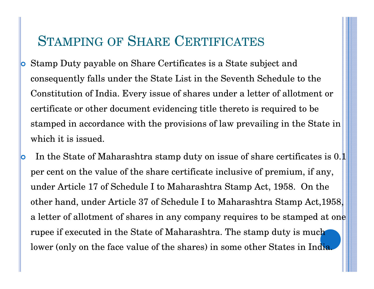## STAMPING OF <sup>S</sup>HARE <sup>C</sup>ERTIFICATES

- lo Stamp Duty payable on Share Certificates is a State subject and consequently falls under the State List in the Seventh Schedule to the Constitution of India. Every issue of shares under a letter of allotment or certificate or other document evidencing title thereto is required to be stamped in accordance with the provisions of law prevailing in the State in which it is issued.
- O In the State of Maharashtra stamp duty on issue of share certificates is 0.1 per cent on the value of the share certificate inclusive of premium, if any, under Article 17 of Schedule I to Maharashtra Stamp Act, 1958. On the other hand, under Article 37 of Schedule I to Maharashtra Stamp Act,1958, a letter of allotment of shares in any company requires to be stamped at one rupee if executed in the State of Maharashtra. The stamp duty is much lower (only on the face value of the shares) in some other States in India.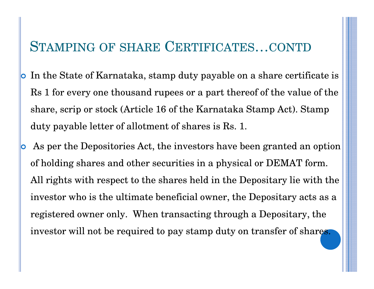### STAMPING OF SHARE <sup>C</sup>ERTIFICATES…CONTD

- O In the State of Karnataka, stamp duty payable on a share certificate is Rs 1 for every one thousand rupees or a part thereof of the value of the share, scrip or stock (Article 16 of the Karnataka Stamp Act). Stamp duty payable letter of allotment of shares is Rs. 1.
- $\overline{\textbf{O}}$  As per the Depositories Act, the investors have been granted an option of holding shares and other securities in a physical or DEMAT form. All rights with respect to the shares held in the Depositary lie with the investor who is the ultimate beneficial owner, the Depositary acts as a registered owner only. When transacting through a Depositary, the investor will not be required to pay stamp duty on transfer of shares.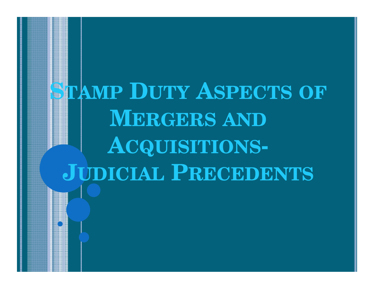# **STAMP <sup>D</sup>UTY <sup>A</sup>SPECTS OF MERGERS ANDACQUISITIONS-JUDICIAL <sup>P</sup>RECEDENTS**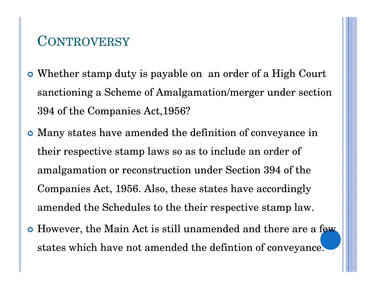#### **CONTROVERSY**

- Whether stamp duty is payable on an order of a High Court sanctioning a Scheme of Amalgamation/merger under section 394 of the Companies Act,1956?
- Many states have amended the definition of conveyance in their respective stamp laws so as to include an order of amalgamation or reconstruction under Section 394 of the Companies Act, 1956. Also, these states have accordingly amended the Schedules to the their respective stamp law.
- **o** However, the Main Act is still unamended and there are a few states which have not amended the defintion of conveyance.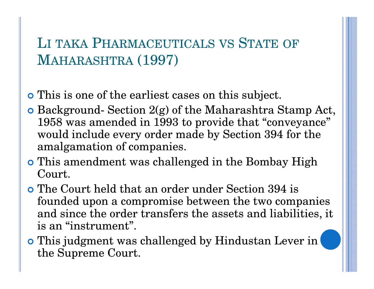### LI TAKA PHARMACEUTICALS VS STATE OF MAHARASHTRA (1997)

- This is one of the earliest cases on this subject.
- Background- Section 2(g) of the Maharashtra Stamp Act, 1958 was amended in 1993 to provide that "conveyance" would include every order made by Section 394 for the amalgamation of companies.
- **o** This amendment was challenged in the Bombay High Court.
- The Court held that an order under Section 394 is founded upon a compromise between the two companies and since the order transfers the assets and liabilities, it is an "instrument".
- **o** This judgment was challenged by Hindustan Lever in the Supreme Court.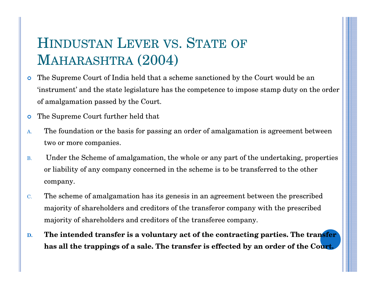### HINDUSTAN LEVER VS. STATE OF MAHARASHTRA (2004)

- $\bullet$  The Supreme Court of India held that a scheme sanctioned by the Court would be an 'instrument' and the state legislature has the competence to impose stamp duty on the order of amalgamation passed by the Court.
- $\bullet$ The Supreme Court further held that
- A. The foundation or the basis for passing an order of amalgamation is agreement between two or more companies.
- B. Under the Scheme of amalgamation, the whole or any part of the undertaking, properties or liability of any company concerned in the scheme is to be transferred to the other company.
- C. The scheme of amalgamation has its genesis in an agreement between the prescribed majority of shareholders and creditors of the transferor company with the prescribed majority of shareholders and creditors of the transferee company.
- **D. The intended transfer is a voluntary act of the contracting parties. The transfer has all the trappings of a sale. The transfer is effected by an order of the Court.**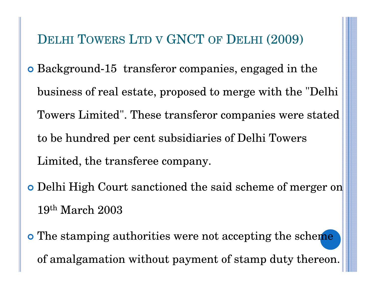### DELHI <sup>T</sup>OWERS <sup>L</sup>TD <sup>V</sup> GNCT OF <sup>D</sup>ELHI (2009)

- Background-15 transferor companies, engaged in the business of real estate, proposed to merge with the "Delhi Towers Limited". These transferor companies were stated to be hundred per cent subsidiaries of Delhi Towers Limited, the transferee company.
- Delhi High Court sanctioned the said scheme of merger on  $19^{\rm th}$  March  $2003$
- o The stamping authorities were not accepting the scheme of amalgamation without payment of stamp duty thereon.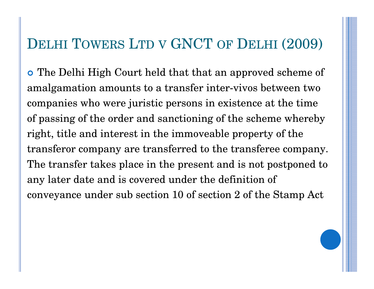## DELHI <sup>T</sup>OWERS <sup>L</sup>TD <sup>V</sup> GNCT OF <sup>D</sup>ELHI (2009)

 The Delhi High Court held that that an approved scheme of amalgamation amounts to a transfer inter-vivos between twocompanies who were juristic persons in existence at the time of passing of the order and sanctioning of the scheme wherebyright, title and interest in the immoveable property of thetransferor company are transferred to the transferee company.The transfer takes place in the present and is not postponed toany later date and is covered under the definition ofconveyance under sub section 10 of section 2 of the Stamp Act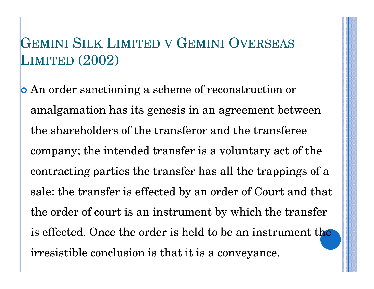### GEMINI SILK <sup>L</sup>IMITED <sup>V</sup> <sup>G</sup>EMINI <sup>O</sup>VERSEAS LIMITED (2002)

 An order sanctioning a scheme of reconstruction or amalgamation has its genesis in an agreement between the shareholders of the transferor and the transferee company; the intended transfer is a voluntary act of the contracting parties the transfer has all the trappings of a sale: the transfer is effected by an order of Court and that the order of court is an instrument by which the transfer is effected. Once the order is held to be an instrument the irresistible conclusion is that it is a conveyance.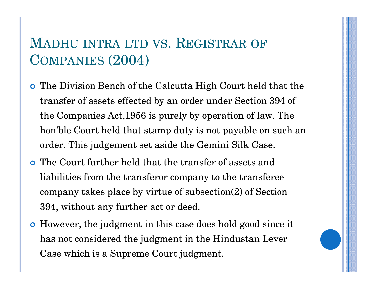### MADHU INTRA LTD VS. REGISTRAR OF COMPANIES (2004)

- The Division Bench of the Calcutta High Court held that the transfer of assets effected by an order under Section 394 of the Companies Act,1956 is purely by operation of law. The hon'ble Court held that stamp duty is not payable on such an order. This judgement set aside the Gemini Silk Case.
- The Court further held that the transfer of assets and liabilities from the transferor company to the transferee company takes place by virtue of subsection(2) of Section 394, without any further act or deed.
- However, the judgment in this case does hold good since it has not considered the judgment in the Hindustan Lever Case which is a Supreme Court judgment.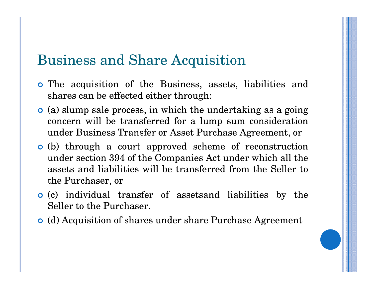#### Business and Share Acquisition

- The acquisition of the Business, assets, liabilities and shares can be effected either through:
- (a) slump sale process, in which the undertaking as <sup>a</sup> going concern will be transferred for a lump sum consideration<br>under Business Transfer er Asset Purchase Acreement er under Business Transfer or Asset Purchase Agreement, or
- (b) through a court approved scheme of reconstruction under section 394 of the Companies Act under which all theassets and liabilities will be transferred from the Seller to<br>the Purchaser or the Purchaser, or
- (c) individual transfer of assetsand liabilities by the Seller to the Purchaser.
- (d) Acquisition of shares under share Purchase Agreement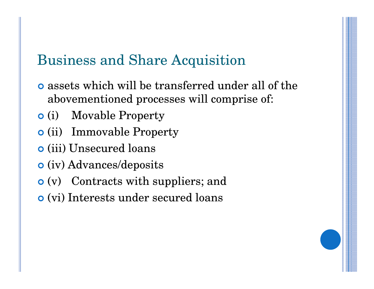### Business and Share Acquisition

- **o** assets which will be transferred under all of the abovementioned processes will comprise of:
- **o** (i) Movable Property
- **o** (ii) Immovable Property
- (iii) Unsecured loans
- **o** (iv) Advances/deposits
- (v) Contracts with suppliers; and
- (vi) Interests under secured loans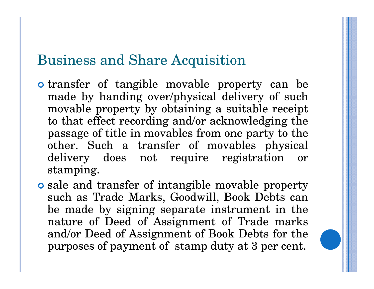#### Business and Share Acquisition

- **o** transfer of tangible movable property can be made by handing over/physical delivery of such movable property by obtaining <sup>a</sup> suitable receipt to that effect recording and/or acknowledging the passage of title in movables from one party to the  $\begin{array}{ccc} \text{other.} \end{array} \begin{array}{ccc} \text{Such} & \text{a} & \text{transfer} & \text{of} & \text{movables} & \text{physical} \end{array}$  delivery does not require registration orstamping.
- **o** sale and transfer of intangible movable property such as Trade Marks, Goodwill, Book Debts can be made by signing separate instrument in the nature of Deed of Assignment of Trade marks and/or Deed of Assignment of Book Debts for thepurposes of payment of stamp duty at 3 per cent.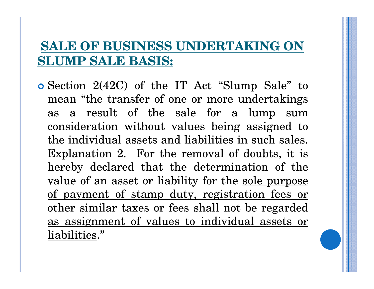#### **SALE OF BUSINESS UNDERTAKING ON SLUMP SALE BASIS:**

 Section 2(42C) of the IT Act "Slump Sale" to mean "the transfer of one or more undertakings as <sup>a</sup> result of the sale for <sup>a</sup> lump sumconsideration without values being assigned tothe individual assets and liabilities in such sales. Explanation 2. For the removal of doubts, it is hereby declared that the determination of thevalue of an asset or liability for the <u>sole purpose</u> of payment of stamp duty, registration fees or other similar taxes or fees shall not be regarded as assignment of values to individual assets orliabilities."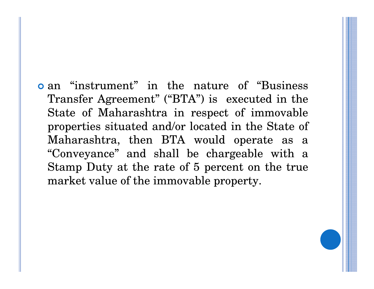**o** an "instrument" in the nature of "Business" Transfer Agreement" ("BTA") is executed in the State of Maharashtra in respect of immovable properties situated and/or located in the State ofMaharashtra, then BTA would operate as <sup>a</sup> "Conveyance" and shall be chargeable with <sup>a</sup> Stamp Duty at the rate of 5 percent on the truemarket value of the immovable property.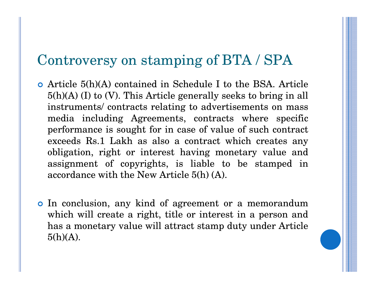#### Controversy on stamping of BTA / SPA

- Article 5(h)(A) contained in Schedule I to the BSA. Article 5(h)(A) (I) to (V). This Article generally seeks to bring in allinstruments/ contracts relating to advertisements on mass media including Agreements, contracts where specific performance is sought for in case of value of such contract exceeds Rs.1 Lakh as also a contract which creates any obligation, right or interest having monetary value and assignment of copyrights, is liable to be stamped inaccordance with the New Article 5(h) (A).
- o In conclusion, any kind of agreement or a memorandum which will create <sup>a</sup> right, title or interest in <sup>a</sup> person and has <sup>a</sup> monetary value will attract stamp duty under Article $5(h)(A)$ .